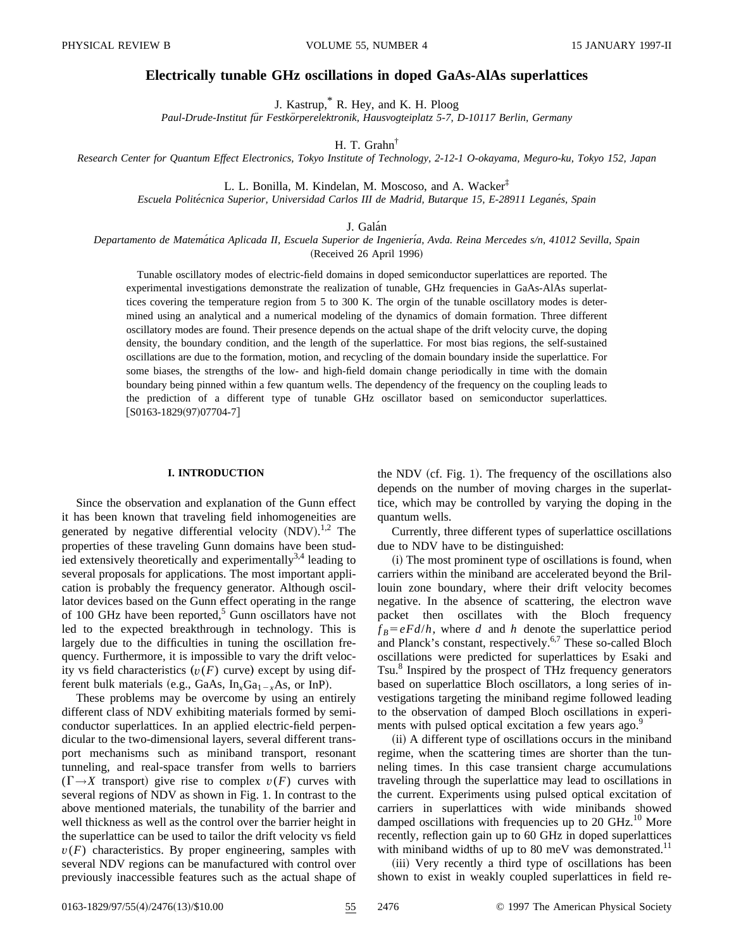# **Electrically tunable GHz oscillations in doped GaAs-AlAs superlattices**

J. Kastrup,\* R. Hey, and K. H. Ploog

*Paul-Drude-Institut fu¨r Festko¨rperelektronik, Hausvogteiplatz 5-7, D-10117 Berlin, Germany*

H. T. Grahn†

*Research Center for Quantum Effect Electronics, Tokyo Institute of Technology, 2-12-1 O-okayama, Meguro-ku, Tokyo 152, Japan*

L. L. Bonilla, M. Kindelan, M. Moscoso, and A. Wacker‡

*Escuela Polite´cnica Superior, Universidad Carlos III de Madrid, Butarque 15, E-28911 Legane´s, Spain*

J. Galán

*Departamento de Matema´tica Aplicada II, Escuela Superior de Ingenierı´a, Avda. Reina Mercedes s/n, 41012 Sevilla, Spain*

(Received 26 April 1996)

Tunable oscillatory modes of electric-field domains in doped semiconductor superlattices are reported. The experimental investigations demonstrate the realization of tunable, GHz frequencies in GaAs-AlAs superlattices covering the temperature region from 5 to 300 K. The orgin of the tunable oscillatory modes is determined using an analytical and a numerical modeling of the dynamics of domain formation. Three different oscillatory modes are found. Their presence depends on the actual shape of the drift velocity curve, the doping density, the boundary condition, and the length of the superlattice. For most bias regions, the self-sustained oscillations are due to the formation, motion, and recycling of the domain boundary inside the superlattice. For some biases, the strengths of the low- and high-field domain change periodically in time with the domain boundary being pinned within a few quantum wells. The dependency of the frequency on the coupling leads to the prediction of a different type of tunable GHz oscillator based on semiconductor superlattices.  $[ S0163-1829(97)07704-7 ]$ 

## **I. INTRODUCTION**

Since the observation and explanation of the Gunn effect it has been known that traveling field inhomogeneities are generated by negative differential velocity  $(NDV).<sup>1,2</sup>$  The properties of these traveling Gunn domains have been studied extensively theoretically and experimentally  $3,4$  leading to several proposals for applications. The most important application is probably the frequency generator. Although oscillator devices based on the Gunn effect operating in the range of 100 GHz have been reported, $5$  Gunn oscillators have not led to the expected breakthrough in technology. This is largely due to the difficulties in tuning the oscillation frequency. Furthermore, it is impossible to vary the drift velocity vs field characteristics  $(v(F))$  curve) except by using different bulk materials (e.g., GaAs,  $In_xGa_{1-x}As$ , or InP).

These problems may be overcome by using an entirely different class of NDV exhibiting materials formed by semiconductor superlattices. In an applied electric-field perpendicular to the two-dimensional layers, several different transport mechanisms such as miniband transport, resonant tunneling, and real-space transfer from wells to barriers  $(\Gamma \rightarrow X$  transport) give rise to complex  $v(F)$  curves with several regions of NDV as shown in Fig. 1. In contrast to the above mentioned materials, the tunability of the barrier and well thickness as well as the control over the barrier height in the superlattice can be used to tailor the drift velocity vs field  $v(F)$  characteristics. By proper engineering, samples with several NDV regions can be manufactured with control over previously inaccessible features such as the actual shape of the NDV (cf. Fig. 1). The frequency of the oscillations also depends on the number of moving charges in the superlattice, which may be controlled by varying the doping in the quantum wells.

Currently, three different types of superlattice oscillations due to NDV have to be distinguished:

 $(i)$  The most prominent type of oscillations is found, when carriers within the miniband are accelerated beyond the Brillouin zone boundary, where their drift velocity becomes negative. In the absence of scattering, the electron wave packet then oscillates with the Bloch frequency  $f_B = eF d/h$ , where *d* and *h* denote the superlattice period and Planck's constant, respectively.6,7 These so-called Bloch oscillations were predicted for superlattices by Esaki and Tsu.<sup>8</sup> Inspired by the prospect of THz frequency generators based on superlattice Bloch oscillators, a long series of investigations targeting the miniband regime followed leading to the observation of damped Bloch oscillations in experiments with pulsed optical excitation a few years ago.<sup>9</sup>

(ii) A different type of oscillations occurs in the miniband regime, when the scattering times are shorter than the tunneling times. In this case transient charge accumulations traveling through the superlattice may lead to oscillations in the current. Experiments using pulsed optical excitation of carriers in superlattices with wide minibands showed damped oscillations with frequencies up to 20 GHz.<sup>10</sup> More recently, reflection gain up to 60 GHz in doped superlattices with miniband widths of up to 80 meV was demonstrated. $^{11}$ 

(iii) Very recently a third type of oscillations has been shown to exist in weakly coupled superlattices in field re-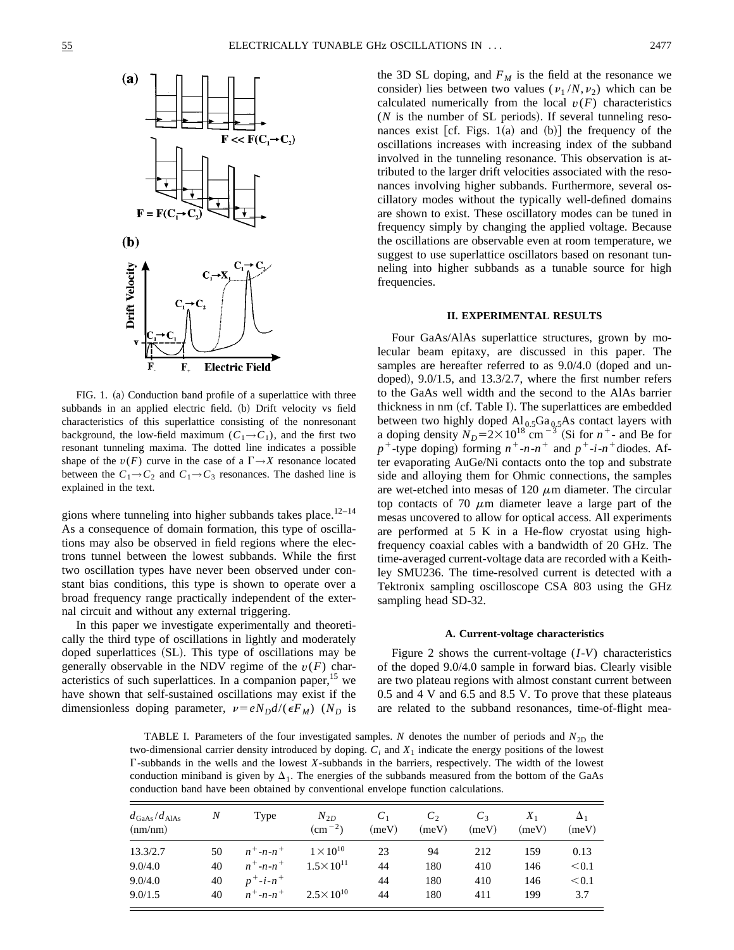

FIG. 1. (a) Conduction band profile of a superlattice with three subbands in an applied electric field. (b) Drift velocity vs field characteristics of this superlattice consisting of the nonresonant background, the low-field maximum ( $C_1 \rightarrow C_1$ ), and the first two resonant tunneling maxima. The dotted line indicates a possible shape of the  $v(F)$  curve in the case of a  $\Gamma \rightarrow X$  resonance located between the  $C_1 \rightarrow C_2$  and  $C_1 \rightarrow C_3$  resonances. The dashed line is explained in the text.

gions where tunneling into higher subbands takes place.<sup>12-14</sup> As a consequence of domain formation, this type of oscillations may also be observed in field regions where the electrons tunnel between the lowest subbands. While the first two oscillation types have never been observed under constant bias conditions, this type is shown to operate over a broad frequency range practically independent of the external circuit and without any external triggering.

In this paper we investigate experimentally and theoretically the third type of oscillations in lightly and moderately doped superlattices (SL). This type of oscillations may be generally observable in the NDV regime of the  $v(F)$  characteristics of such superlattices. In a companion paper,  $15$  we have shown that self-sustained oscillations may exist if the dimensionless doping parameter,  $v = eN_D d/(\epsilon F_M)$  (*N<sub>D</sub>* is the 3D SL doping, and  $F_M$  is the field at the resonance we consider) lies between two values ( $v_1/N, v_2$ ) which can be calculated numerically from the local  $v(F)$  characteristics  $(N$  is the number of SL periods). If several tunneling resonances exist [cf. Figs.  $1(a)$  and  $(b)$ ] the frequency of the oscillations increases with increasing index of the subband involved in the tunneling resonance. This observation is attributed to the larger drift velocities associated with the resonances involving higher subbands. Furthermore, several oscillatory modes without the typically well-defined domains are shown to exist. These oscillatory modes can be tuned in frequency simply by changing the applied voltage. Because the oscillations are observable even at room temperature, we suggest to use superlattice oscillators based on resonant tunneling into higher subbands as a tunable source for high frequencies.

### **II. EXPERIMENTAL RESULTS**

Four GaAs/AlAs superlattice structures, grown by molecular beam epitaxy, are discussed in this paper. The samples are hereafter referred to as  $9.0/4.0$  (doped and undoped),  $9.0/1.5$ , and  $13.3/2.7$ , where the first number refers to the GaAs well width and the second to the AlAs barrier thickness in nm (cf. Table I). The superlattices are embedded between two highly doped  $Al_{0.5}Ga_{0.5}As$  contact layers with a doping density  $N_D = 2 \times 10^{18}$  cm<sup>-3</sup> (Si for  $n^+$ - and Be for  $p^+$ -type doping) forming  $n^+$ -*n*- $n^+$  and  $p^+$ -*i*- $n^+$ diodes. After evaporating AuGe/Ni contacts onto the top and substrate side and alloying them for Ohmic connections, the samples are wet-etched into mesas of 120  $\mu$ m diameter. The circular top contacts of 70  $\mu$ m diameter leave a large part of the mesas uncovered to allow for optical access. All experiments are performed at 5 K in a He-flow cryostat using highfrequency coaxial cables with a bandwidth of 20 GHz. The time-averaged current-voltage data are recorded with a Keithley SMU236. The time-resolved current is detected with a Tektronix sampling oscilloscope CSA 803 using the GHz sampling head SD-32.

## **A. Current-voltage characteristics**

Figure 2 shows the current-voltage (*I*-*V*) characteristics of the doped 9.0/4.0 sample in forward bias. Clearly visible are two plateau regions with almost constant current between 0.5 and 4 V and 6.5 and 8.5 V. To prove that these plateaus are related to the subband resonances, time-of-flight mea-

TABLE I. Parameters of the four investigated samples. *N* denotes the number of periods and  $N_{2D}$  the two-dimensional carrier density introduced by doping.  $C_i$  and  $X_1$  indicate the energy positions of the lowest G-subbands in the wells and the lowest *X*-subbands in the barriers, respectively. The width of the lowest conduction miniband is given by  $\Delta_1$ . The energies of the subbands measured from the bottom of the GaAs conduction band have been obtained by conventional envelope function calculations.

| $d_{\rm GaAs}/d_{\rm AlAs}$<br>(nm/nm) | N  | Type                    | $N_{2D}$<br>$\rm (cm^{-2})$ | C <sub>1</sub><br>(meV) | $C_2$<br>(meV) | $C_3$<br>(meV) | $X_1$<br>(meV) | $\Delta_1$<br>(meV) |
|----------------------------------------|----|-------------------------|-----------------------------|-------------------------|----------------|----------------|----------------|---------------------|
| 13.3/2.7                               | 50 | $n^+$ -n-n <sup>+</sup> | $1 \times 10^{10}$          | 23                      | 94             | 212            | 159            | 0.13                |
| 9.0/4.0                                | 40 | $n^+$ -n-n <sup>+</sup> | $1.5 \times 10^{11}$        | 44                      | 180            | 410            | 146            | < 0.1               |
| 9.0/4.0                                | 40 | $p^+$ -i-n <sup>+</sup> |                             | 44                      | 180            | 410            | 146            | < 0.1               |
| 9.0/1.5                                | 40 | $n^+$ -n-n <sup>+</sup> | $2.5 \times 10^{10}$        | 44                      | 180            | 411            | 199            | 3.7                 |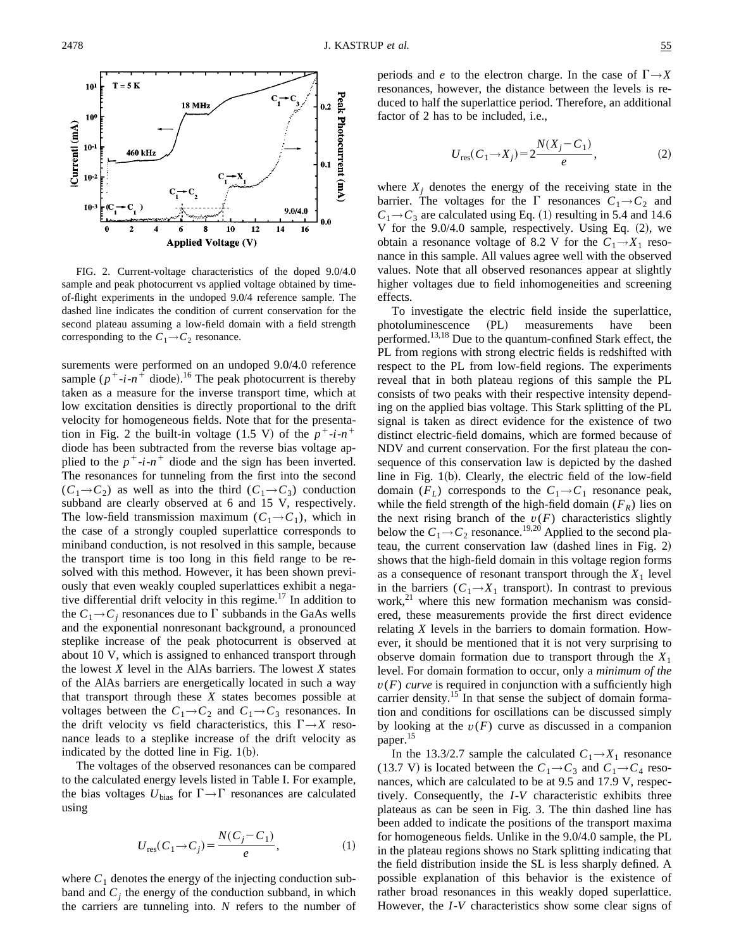

FIG. 2. Current-voltage characteristics of the doped 9.0/4.0 sample and peak photocurrent vs applied voltage obtained by timeof-flight experiments in the undoped 9.0/4 reference sample. The dashed line indicates the condition of current conservation for the second plateau assuming a low-field domain with a field strength corresponding to the  $C_1 \rightarrow C_2$  resonance.

surements were performed on an undoped 9.0/4.0 reference sample  $(p^{\dagger} - i - n^{\dagger})$  diode).<sup>16</sup> The peak photocurrent is thereby taken as a measure for the inverse transport time, which at low excitation densities is directly proportional to the drift velocity for homogeneous fields. Note that for the presentation in Fig. 2 the built-in voltage (1.5 V) of the  $p^+$ -*i*- $n^+$ diode has been subtracted from the reverse bias voltage applied to the  $p^+$ -*i*- $n^+$  diode and the sign has been inverted. The resonances for tunneling from the first into the second  $(C_1 \rightarrow C_2)$  as well as into the third  $(C_1 \rightarrow C_3)$  conduction subband are clearly observed at 6 and 15 V, respectively. The low-field transmission maximum  $(C_1 \rightarrow C_1)$ , which in the case of a strongly coupled superlattice corresponds to miniband conduction, is not resolved in this sample, because the transport time is too long in this field range to be resolved with this method. However, it has been shown previously that even weakly coupled superlattices exhibit a negative differential drift velocity in this regime.17 In addition to the  $C_1 \rightarrow C_i$  resonances due to  $\Gamma$  subbands in the GaAs wells and the exponential nonresonant background, a pronounced steplike increase of the peak photocurrent is observed at about 10 V, which is assigned to enhanced transport through the lowest *X* level in the AlAs barriers. The lowest *X* states of the AlAs barriers are energetically located in such a way that transport through these *X* states becomes possible at voltages between the  $C_1 \rightarrow C_2$  and  $C_1 \rightarrow C_3$  resonances. In the drift velocity vs field characteristics, this  $\Gamma \rightarrow X$  resonance leads to a steplike increase of the drift velocity as indicated by the dotted line in Fig.  $1(b)$ .

The voltages of the observed resonances can be compared to the calculated energy levels listed in Table I. For example, the bias voltages  $U_{bias}$  for  $\Gamma \rightarrow \Gamma$  resonances are calculated using

$$
U_{\rm res}(C_1 \to C_j) = \frac{N(C_j - C_1)}{e},\tag{1}
$$

where  $C_1$  denotes the energy of the injecting conduction subband and  $C_i$  the energy of the conduction subband, in which the carriers are tunneling into. *N* refers to the number of periods and *e* to the electron charge. In the case of  $\Gamma \rightarrow X$ resonances, however, the distance between the levels is reduced to half the superlattice period. Therefore, an additional factor of 2 has to be included, i.e.,

$$
U_{\text{res}}(C_1 \to X_j) = 2 \frac{N(X_j - C_1)}{e},\tag{2}
$$

where  $X_i$  denotes the energy of the receiving state in the barrier. The voltages for the  $\Gamma$  resonances  $C_1 \rightarrow C_2$  and  $C_1 \rightarrow C_3$  are calculated using Eq. (1) resulting in 5.4 and 14.6 V for the  $9.0/4.0$  sample, respectively. Using Eq.  $(2)$ , we obtain a resonance voltage of 8.2 V for the  $C_1 \rightarrow X_1$  resonance in this sample. All values agree well with the observed values. Note that all observed resonances appear at slightly higher voltages due to field inhomogeneities and screening effects.

To investigate the electric field inside the superlattice, photoluminescence (PL) measurements have been performed.<sup>13,18</sup> Due to the quantum-confined Stark effect, the PL from regions with strong electric fields is redshifted with respect to the PL from low-field regions. The experiments reveal that in both plateau regions of this sample the PL consists of two peaks with their respective intensity depending on the applied bias voltage. This Stark splitting of the PL signal is taken as direct evidence for the existence of two distinct electric-field domains, which are formed because of NDV and current conservation. For the first plateau the consequence of this conservation law is depicted by the dashed line in Fig.  $1(b)$ . Clearly, the electric field of the low-field domain  $(F_L)$  corresponds to the  $C_1 \rightarrow C_1$  resonance peak, while the field strength of the high-field domain  $(F_R)$  lies on the next rising branch of the  $v(F)$  characteristics slightly below the  $C_1 \rightarrow C_2$  resonance.<sup>19,20</sup> Applied to the second plateau, the current conservation law  $(dashed lines in Fig. 2)$ shows that the high-field domain in this voltage region forms as a consequence of resonant transport through the  $X_1$  level in the barriers  $(C_1 \rightarrow X_1$  transport). In contrast to previous work,<sup>21</sup> where this new formation mechanism was considered, these measurements provide the first direct evidence relating *X* levels in the barriers to domain formation. However, it should be mentioned that it is not very surprising to observe domain formation due to transport through the  $X_1$ level. For domain formation to occur, only a *minimum of the*  $v(F)$  *curve* is required in conjunction with a sufficiently high carrier density.<sup>15</sup> In that sense the subject of domain formation and conditions for oscillations can be discussed simply by looking at the  $v(F)$  curve as discussed in a companion paper.<sup>15</sup>

In the 13.3/2.7 sample the calculated  $C_1 \rightarrow X_1$  resonance (13.7 V) is located between the  $C_1 \rightarrow C_3$  and  $C_1 \rightarrow C_4$  resonances, which are calculated to be at 9.5 and 17.9 V, respectively. Consequently, the *I*-*V* characteristic exhibits three plateaus as can be seen in Fig. 3. The thin dashed line has been added to indicate the positions of the transport maxima for homogeneous fields. Unlike in the 9.0/4.0 sample, the PL in the plateau regions shows no Stark splitting indicating that the field distribution inside the SL is less sharply defined. A possible explanation of this behavior is the existence of rather broad resonances in this weakly doped superlattice. However, the *I*-*V* characteristics show some clear signs of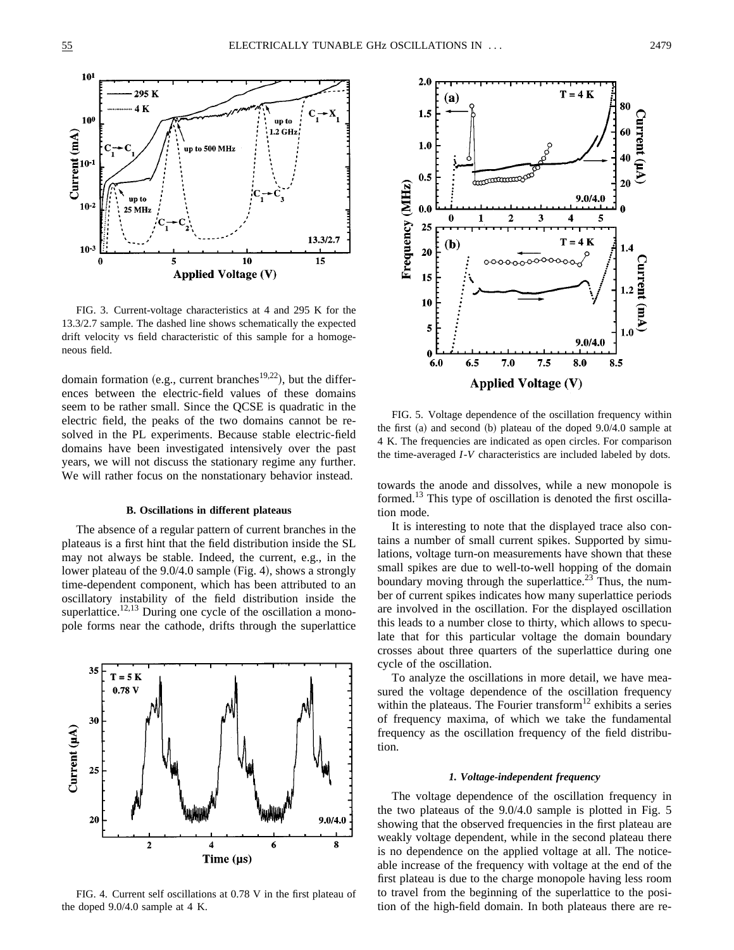

FIG. 3. Current-voltage characteristics at 4 and 295 K for the 13.3/2.7 sample. The dashed line shows schematically the expected drift velocity vs field characteristic of this sample for a homogeneous field.

domain formation (e.g., current branches<sup>19,22</sup>), but the differences between the electric-field values of these domains seem to be rather small. Since the QCSE is quadratic in the electric field, the peaks of the two domains cannot be resolved in the PL experiments. Because stable electric-field domains have been investigated intensively over the past years, we will not discuss the stationary regime any further. We will rather focus on the nonstationary behavior instead.

#### **B. Oscillations in different plateaus**

The absence of a regular pattern of current branches in the plateaus is a first hint that the field distribution inside the SL may not always be stable. Indeed, the current, e.g., in the lower plateau of the  $9.0/4.0$  sample (Fig. 4), shows a strongly time-dependent component, which has been attributed to an oscillatory instability of the field distribution inside the superlattice.<sup>12,13</sup> During one cycle of the oscillation a monopole forms near the cathode, drifts through the superlattice



FIG. 4. Current self oscillations at 0.78 V in the first plateau of the doped 9.0/4.0 sample at 4 K.



FIG. 5. Voltage dependence of the oscillation frequency within the first  $(a)$  and second  $(b)$  plateau of the doped 9.0/4.0 sample at 4 K. The frequencies are indicated as open circles. For comparison the time-averaged *I*-*V* characteristics are included labeled by dots.

towards the anode and dissolves, while a new monopole is formed.<sup>13</sup> This type of oscillation is denoted the first oscillation mode.

It is interesting to note that the displayed trace also contains a number of small current spikes. Supported by simulations, voltage turn-on measurements have shown that these small spikes are due to well-to-well hopping of the domain boundary moving through the superlattice.<sup>23</sup> Thus, the number of current spikes indicates how many superlattice periods are involved in the oscillation. For the displayed oscillation this leads to a number close to thirty, which allows to speculate that for this particular voltage the domain boundary crosses about three quarters of the superlattice during one cycle of the oscillation.

To analyze the oscillations in more detail, we have measured the voltage dependence of the oscillation frequency within the plateaus. The Fourier transform<sup>12</sup> exhibits a series of frequency maxima, of which we take the fundamental frequency as the oscillation frequency of the field distribution.

### *1. Voltage-independent frequency*

The voltage dependence of the oscillation frequency in the two plateaus of the 9.0/4.0 sample is plotted in Fig. 5 showing that the observed frequencies in the first plateau are weakly voltage dependent, while in the second plateau there is no dependence on the applied voltage at all. The noticeable increase of the frequency with voltage at the end of the first plateau is due to the charge monopole having less room to travel from the beginning of the superlattice to the position of the high-field domain. In both plateaus there are re-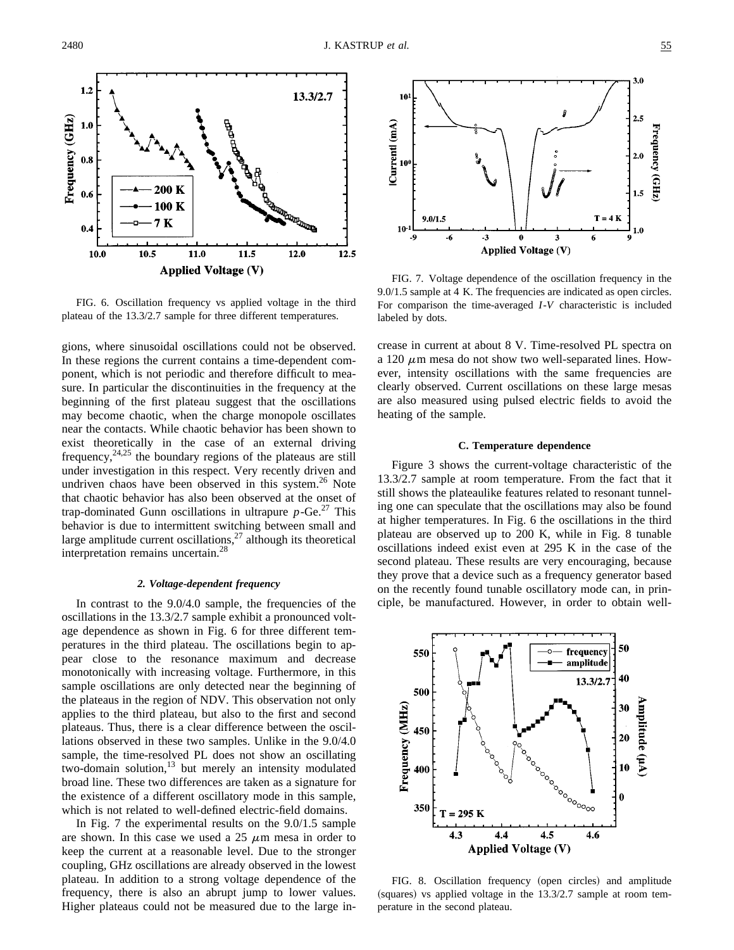

FIG. 6. Oscillation frequency vs applied voltage in the third plateau of the 13.3/2.7 sample for three different temperatures.

gions, where sinusoidal oscillations could not be observed. In these regions the current contains a time-dependent component, which is not periodic and therefore difficult to measure. In particular the discontinuities in the frequency at the beginning of the first plateau suggest that the oscillations may become chaotic, when the charge monopole oscillates near the contacts. While chaotic behavior has been shown to exist theoretically in the case of an external driving frequency,  $24.25$  the boundary regions of the plateaus are still under investigation in this respect. Very recently driven and undriven chaos have been observed in this system.<sup>26</sup> Note that chaotic behavior has also been observed at the onset of trap-dominated Gunn oscillations in ultrapure  $p$ -Ge.<sup>27</sup> This behavior is due to intermittent switching between small and large amplitude current oscillations, $27$  although its theoretical interpretation remains uncertain.28

#### *2. Voltage-dependent frequency*

In contrast to the 9.0/4.0 sample, the frequencies of the oscillations in the 13.3/2.7 sample exhibit a pronounced voltage dependence as shown in Fig. 6 for three different temperatures in the third plateau. The oscillations begin to appear close to the resonance maximum and decrease monotonically with increasing voltage. Furthermore, in this sample oscillations are only detected near the beginning of the plateaus in the region of NDV. This observation not only applies to the third plateau, but also to the first and second plateaus. Thus, there is a clear difference between the oscillations observed in these two samples. Unlike in the 9.0/4.0 sample, the time-resolved PL does not show an oscillating two-domain solution,<sup>13</sup> but merely an intensity modulated broad line. These two differences are taken as a signature for the existence of a different oscillatory mode in this sample, which is not related to well-defined electric-field domains.

In Fig. 7 the experimental results on the 9.0/1.5 sample are shown. In this case we used a  $25 \mu m$  mesa in order to keep the current at a reasonable level. Due to the stronger coupling, GHz oscillations are already observed in the lowest plateau. In addition to a strong voltage dependence of the frequency, there is also an abrupt jump to lower values. Higher plateaus could not be measured due to the large in-



FIG. 7. Voltage dependence of the oscillation frequency in the 9.0/1.5 sample at 4 K. The frequencies are indicated as open circles. For comparison the time-averaged *I*-*V* characteristic is included labeled by dots.

crease in current at about 8 V. Time-resolved PL spectra on a 120  $\mu$ m mesa do not show two well-separated lines. However, intensity oscillations with the same frequencies are clearly observed. Current oscillations on these large mesas are also measured using pulsed electric fields to avoid the heating of the sample.

### **C. Temperature dependence**

Figure 3 shows the current-voltage characteristic of the 13.3/2.7 sample at room temperature. From the fact that it still shows the plateaulike features related to resonant tunneling one can speculate that the oscillations may also be found at higher temperatures. In Fig. 6 the oscillations in the third plateau are observed up to 200 K, while in Fig. 8 tunable oscillations indeed exist even at 295 K in the case of the second plateau. These results are very encouraging, because they prove that a device such as a frequency generator based on the recently found tunable oscillatory mode can, in principle, be manufactured. However, in order to obtain well-



FIG. 8. Oscillation frequency (open circles) and amplitude  $(squares)$  vs applied voltage in the  $13.3/2.7$  sample at room temperature in the second plateau.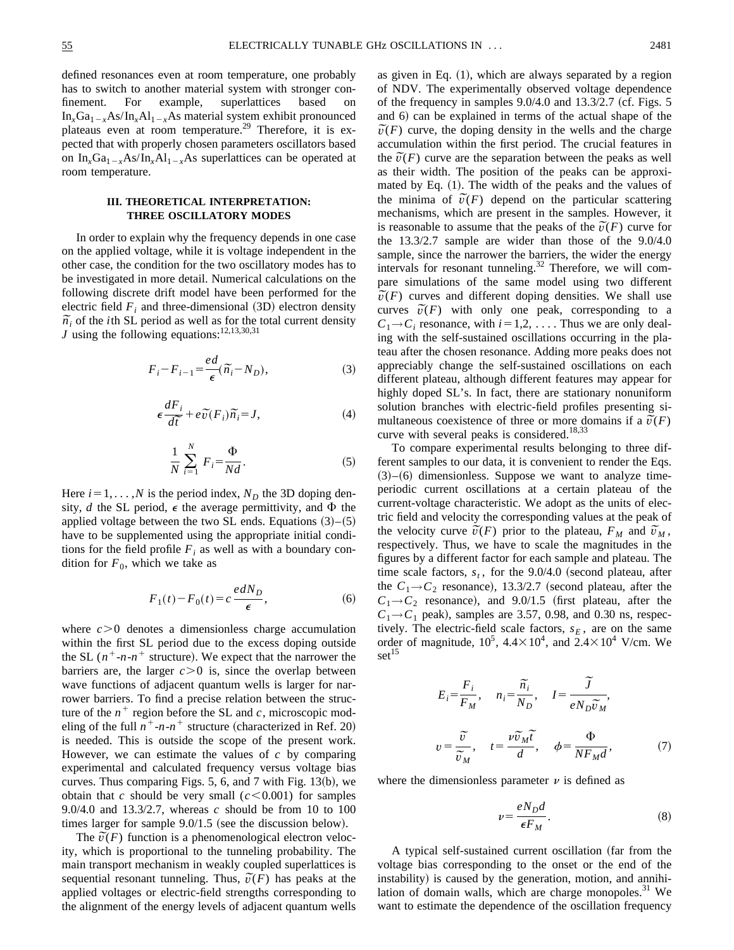defined resonances even at room temperature, one probably has to switch to another material system with stronger confinement. For example, superlattices based on  $In_xGa_{1-x}As/In_xAl_{1-x}As$  material system exhibit pronounced plateaus even at room temperature.<sup>29</sup> Therefore, it is expected that with properly chosen parameters oscillators based on  $In_xGa_{1-x}As/In_xAl_{1-x}As$  superlattices can be operated at room temperature.

## **III. THEORETICAL INTERPRETATION: THREE OSCILLATORY MODES**

In order to explain why the frequency depends in one case on the applied voltage, while it is voltage independent in the other case, the condition for the two oscillatory modes has to be investigated in more detail. Numerical calculations on the following discrete drift model have been performed for the electric field  $F_i$  and three-dimensional  $(3D)$  electron density electric field  $\vec{r}_i$  and three-dimensional (3D) electron density  $\vec{n_i}$  of the *i*th SL period as well as for the total current density *J* using the following equations:<sup>12,13,30,31</sup>

$$
F_i - F_{i-1} = \frac{ed}{\epsilon}(\tilde{n}_i - N_D),\tag{3}
$$

$$
\epsilon \frac{dF_i}{d\tilde{t}} + e\tilde{v}(F_i)\tilde{n_i} = J,\tag{4}
$$

$$
\frac{1}{N} \sum_{i=1}^{N} F_i = \frac{\Phi}{Nd}.
$$
 (5)

Here  $i=1, \ldots, N$  is the period index,  $N_D$  the 3D doping density, *d* the SL period,  $\epsilon$  the average permittivity, and  $\Phi$  the applied voltage between the two SL ends. Equations  $(3)$ – $(5)$ have to be supplemented using the appropriate initial conditions for the field profile  $F_i$  as well as with a boundary condition for  $F_0$ , which we take as

$$
F_1(t) - F_0(t) = c \frac{edN_D}{\epsilon},\tag{6}
$$

where  $c > 0$  denotes a dimensionless charge accumulation within the first SL period due to the excess doping outside the SL  $(n^+$ -*n*- $n^+$  structure). We expect that the narrower the barriers are, the larger  $c > 0$  is, since the overlap between wave functions of adjacent quantum wells is larger for narrower barriers. To find a precise relation between the structure of the  $n^+$  region before the SL and  $c$ , microscopic modeling of the full  $n^+$ - $n$ - $n^+$  structure (characterized in Ref. 20) is needed. This is outside the scope of the present work. However, we can estimate the values of *c* by comparing experimental and calculated frequency versus voltage bias curves. Thus comparing Figs.  $5, 6$ , and  $7$  with Fig. 13 $(b)$ , we obtain that *c* should be very small  $(c < 0.001)$  for samples 9.0/4.0 and 13.3/2.7, whereas *c* should be from 10 to 100 times larger for sample  $9.0/1.5$  (see the discussion below).

 $\tilde{v}(F)$  function is a phenomenological electron veloc-<br>The  $\tilde{v}(F)$  function is a phenomenological electron velocity, which is proportional to the tunneling probability. The main transport mechanism in weakly coupled superlattices is main transport mechanism in weakly coupled superiatives is sequential resonant tunneling. Thus,  $\tilde{v}(F)$  has peaks at the applied voltages or electric-field strengths corresponding to the alignment of the energy levels of adjacent quantum wells as given in Eq.  $(1)$ , which are always separated by a region of NDV. The experimentally observed voltage dependence of the frequency in samples  $9.0/4.0$  and  $13.3/2.7$  (cf. Figs. 5) and 6) can be explained in terms of the actual shape of the and 6) can be explained in terms of the actual shape of the  $\tilde{v}(F)$  curve, the doping density in the wells and the charge accumulation within the first period. The crucial features in  $\tilde{v}(F)$  curve are the separation between the peaks as well as their width. The position of the peaks can be approximated by Eq.  $(1)$ . The width of the peaks and the values of mated by Eq. (1). The width of the peaks and the values of the minima of  $\tilde{v}(F)$  depend on the particular scattering mechanisms, which are present in the samples. However, it is reasonable to assume that the peaks of the  $\tilde{v}(F)$  curve for the *x*(*F*) curve for the 13.3/2.7 sample are wider than those of the 9.0/4.0 sample, since the narrower the barriers, the wider the energy intervals for resonant tunneling. $32$  Therefore, we will compare simulations of the same model using two different pare simulations of the same model using two different  $\tilde{v}(F)$  curves and different doping densities. We shall use  $v(r)$  curves and different doping densities. We shall use<br>curves  $\tilde{v}(F)$  with only one peak, corresponding to a  $C_1 \rightarrow C_i$  resonance, with  $i=1,2,\ldots$ . Thus we are only dealing with the self-sustained oscillations occurring in the plateau after the chosen resonance. Adding more peaks does not appreciably change the self-sustained oscillations on each different plateau, although different features may appear for highly doped SL's. In fact, there are stationary nonuniform solution branches with electric-field profiles presenting sisolution branches with electric-lield profiles presenting simultaneous coexistence of three or more domains if a  $\tilde{v}(F)$ curve with several peaks is considered.<sup>18,33</sup>

To compare experimental results belonging to three different samples to our data, it is convenient to render the Eqs.  $(3)–(6)$  dimensionless. Suppose we want to analyze timeperiodic current oscillations at a certain plateau of the current-voltage characteristic. We adopt as the units of electric field and velocity the corresponding values at the peak of the velocity curve  $\tilde{v}(F)$  prior to the plateau,  $F_M$  and  $\tilde{v}_M$ , respectively. Thus, we have to scale the magnitudes in the figures by a different factor for each sample and plateau. The time scale factors,  $s_t$ , for the 9.0/4.0 (second plateau, after the  $C_1 \rightarrow C_2$  resonance), 13.3/2.7 (second plateau, after the  $C_1 \rightarrow C_2$  resonance), and 9.0/1.5 (first plateau, after the  $C_1 \rightarrow C_1$  peak), samples are 3.57, 0.98, and 0.30 ns, respectively. The electric-field scale factors,  $s_E$ , are on the same order of magnitude,  $10^5$ ,  $4.4 \times 10^4$ , and  $2.4 \times 10^4$  V/cm. We  $set<sup>15</sup>$ 

$$
E_i = \frac{F_i}{F_M}, \quad n_i = \frac{\tilde{n}_i}{N_D}, \quad I = \frac{\tilde{J}}{e N_D \tilde{v}_M},
$$
  

$$
v = \frac{\tilde{v}}{\tilde{v}_M}, \quad t = \frac{\nu \tilde{v}_M \tilde{t}}{d}, \quad \phi = \frac{\Phi}{N F_M d}, \quad (7)
$$

where the dimensionless parameter  $\nu$  is defined as

$$
\nu = \frac{eN_D d}{\epsilon F_M}.\tag{8}
$$

A typical self-sustained current oscillation (far from the voltage bias corresponding to the onset or the end of the instability) is caused by the generation, motion, and annihilation of domain walls, which are charge monopoles.<sup>31</sup> We want to estimate the dependence of the oscillation frequency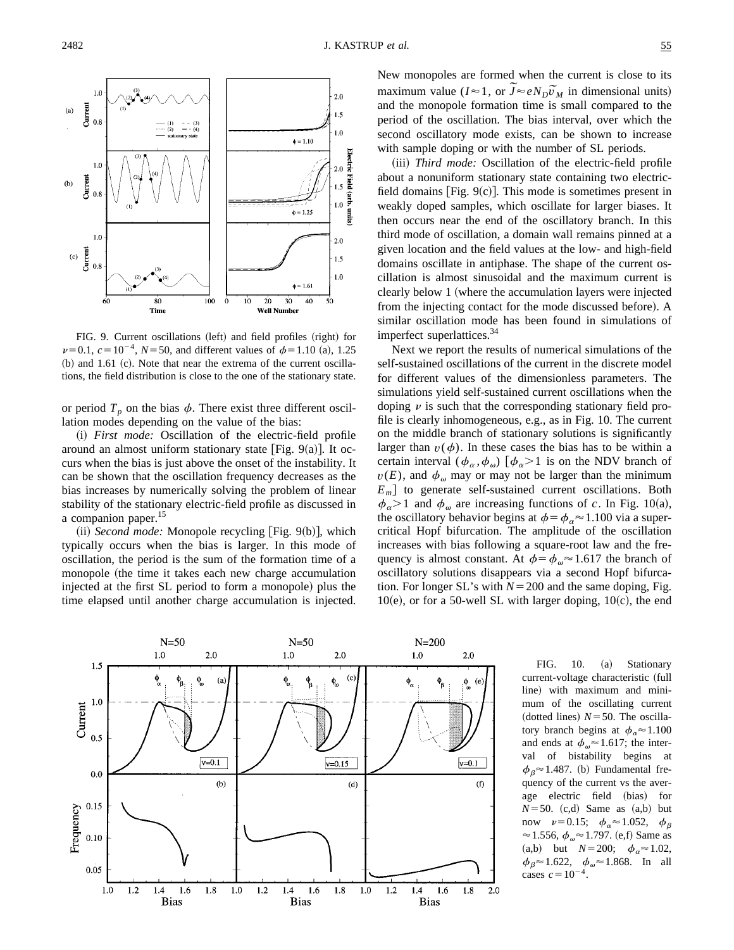

FIG. 9. Current oscillations (left) and field profiles (right) for  $\nu$ =0.1, *c* = 10<sup>-4</sup>, *N* = 50, and different values of  $\phi$ =1.10 (a), 1.25  $(b)$  and 1.61  $(c)$ . Note that near the extrema of the current oscillations, the field distribution is close to the one of the stationary state.

or period  $T_p$  on the bias  $\phi$ . There exist three different oscillation modes depending on the value of the bias:

(i) *First mode:* Oscillation of the electric-field profile around an almost uniform stationary state [Fig. 9(a)]. It occurs when the bias is just above the onset of the instability. It can be shown that the oscillation frequency decreases as the bias increases by numerically solving the problem of linear stability of the stationary electric-field profile as discussed in a companion paper.<sup>15</sup>

 $(iii)$  *Second mode:* Monopole recycling [Fig. 9 $(b)$ ], which typically occurs when the bias is larger. In this mode of oscillation, the period is the sum of the formation time of a monopole (the time it takes each new charge accumulation injected at the first SL period to form a monopole) plus the time elapsed until another charge accumulation is injected. New monopoles are formed when the current is close to its New monopoles are formed when the current is close to its<br>maximum value ( $I \approx 1$ , or  $\widetilde{J} \approx e N_D \widetilde{v}_M$  in dimensional units) and the monopole formation time is small compared to the period of the oscillation. The bias interval, over which the second oscillatory mode exists, can be shown to increase with sample doping or with the number of SL periods.

(iii) *Third mode:* Oscillation of the electric-field profile about a nonuniform stationary state containing two electricfield domains [Fig.  $9(c)$ ]. This mode is sometimes present in weakly doped samples, which oscillate for larger biases. It then occurs near the end of the oscillatory branch. In this third mode of oscillation, a domain wall remains pinned at a given location and the field values at the low- and high-field domains oscillate in antiphase. The shape of the current oscillation is almost sinusoidal and the maximum current is clearly below 1 (where the accumulation layers were injected from the injecting contact for the mode discussed before). A similar oscillation mode has been found in simulations of imperfect superlattices.<sup>34</sup>

Next we report the results of numerical simulations of the self-sustained oscillations of the current in the discrete model for different values of the dimensionless parameters. The simulations yield self-sustained current oscillations when the doping  $\nu$  is such that the corresponding stationary field profile is clearly inhomogeneous, e.g., as in Fig. 10. The current on the middle branch of stationary solutions is significantly larger than  $v(\phi)$ . In these cases the bias has to be within a certain interval  $(\phi_{\alpha}, \phi_{\omega})$   $[\phi_{\alpha} > 1]$  is on the NDV branch of  $v(E)$ , and  $\phi_{\omega}$  may or may not be larger than the minimum  $E_m$  to generate self-sustained current oscillations. Both  $\phi_{\alpha}$ >1 and  $\phi_{\omega}$  are increasing functions of *c*. In Fig. 10(a), the oscillatory behavior begins at  $\phi = \phi_{\alpha} \approx 1.100$  via a supercritical Hopf bifurcation. The amplitude of the oscillation increases with bias following a square-root law and the frequency is almost constant. At  $\phi = \phi_o \approx 1.617$  the branch of oscillatory solutions disappears via a second Hopf bifurcation. For longer SL's with  $N = 200$  and the same doping, Fig.  $10(e)$ , or for a 50-well SL with larger doping,  $10(c)$ , the end



FIG. 10. (a) Stationary current-voltage characteristic (full line) with maximum and minimum of the oscillating current (dotted lines)  $N=50$ . The oscillatory branch begins at  $\phi_{\alpha} \approx 1.100$ and ends at  $\phi_{\omega} \approx 1.617$ ; the interval of bistability begins at  $\phi_B \approx 1.487$ . (b) Fundamental frequency of the current vs the average electric field (bias) for  $N=50$ . (c,d) Same as  $(a,b)$  but now  $\nu=0.15; \phi_{\alpha} \approx 1.052, \phi_{\beta}$  $\approx$  1.556,  $\phi_{\omega}$  $\approx$  1.797. (e,f) Same as (a,b) but  $N=200; \quad \phi_\alpha \approx 1.02$ ,  $\phi_B \approx 1.622$ ,  $\phi_\omega \approx 1.868$ . In all cases  $c=10^{-4}$ .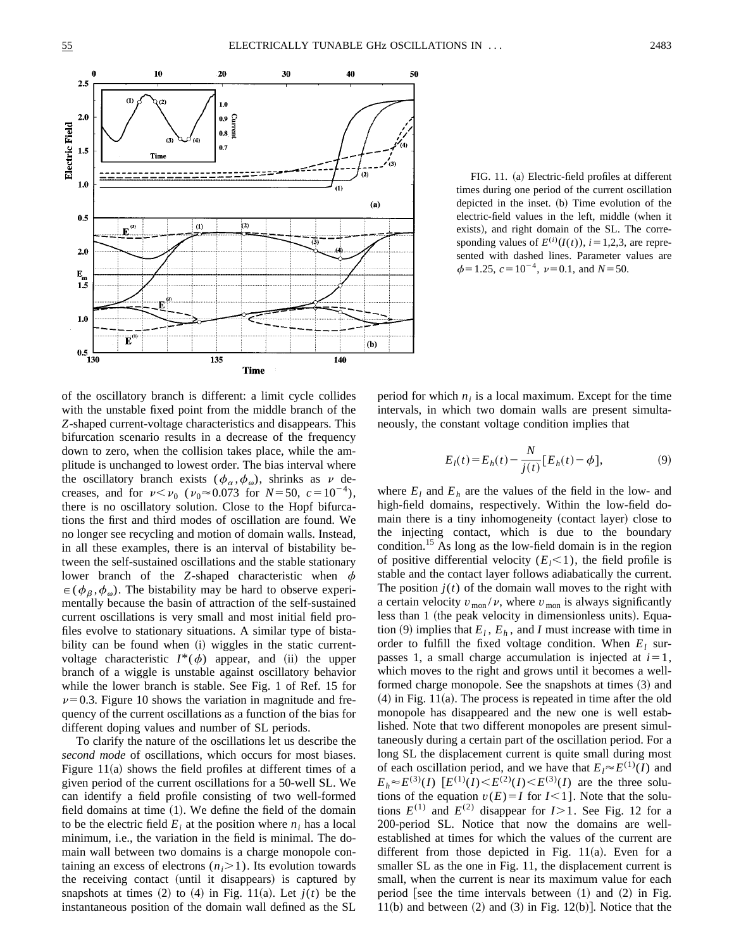

FIG. 11. (a) Electric-field profiles at different times during one period of the current oscillation depicted in the inset.  $(b)$  Time evolution of the electric-field values in the left, middle (when it exists), and right domain of the SL. The corresponding values of  $E^{(i)}(I(t))$ , *i* = 1,2,3, are represented with dashed lines. Parameter values are  $\phi$ =1.25,  $c$ =10<sup>-4</sup>,  $\nu$ =0.1, and *N*=50.

of the oscillatory branch is different: a limit cycle collides with the unstable fixed point from the middle branch of the *Z*-shaped current-voltage characteristics and disappears. This bifurcation scenario results in a decrease of the frequency down to zero, when the collision takes place, while the amplitude is unchanged to lowest order. The bias interval where the oscillatory branch exists  $(\phi_{\alpha}, \phi_{\omega})$ , shrinks as v decreases, and for  $\nu < \nu_0$  ( $\nu_0 \approx 0.073$  for *N*=50,  $c=10^{-4}$ ), there is no oscillatory solution. Close to the Hopf bifurcations the first and third modes of oscillation are found. We no longer see recycling and motion of domain walls. Instead, in all these examples, there is an interval of bistability between the self-sustained oscillations and the stable stationary lower branch of the *Z*-shaped characteristic when  $\phi$  $\epsilon(\phi_{\beta}, \phi_{\omega})$ . The bistability may be hard to observe experimentally because the basin of attraction of the self-sustained current oscillations is very small and most initial field profiles evolve to stationary situations. A similar type of bistability can be found when (i) wiggles in the static currentvoltage characteristic  $I^*(\phi)$  appear, and (ii) the upper branch of a wiggle is unstable against oscillatory behavior while the lower branch is stable. See Fig. 1 of Ref. 15 for  $\nu$ =0.3. Figure 10 shows the variation in magnitude and frequency of the current oscillations as a function of the bias for different doping values and number of SL periods.

To clarify the nature of the oscillations let us describe the *second mode* of oscillations, which occurs for most biases. Figure 11(a) shows the field profiles at different times of a given period of the current oscillations for a 50-well SL. We can identify a field profile consisting of two well-formed field domains at time  $(1)$ . We define the field of the domain to be the electric field  $E_i$  at the position where  $n_i$  has a local minimum, i.e., the variation in the field is minimal. The domain wall between two domains is a charge monopole containing an excess of electrons  $(n_i>1)$ . Its evolution towards the receiving contact (until it disappears) is captured by snapshots at times  $(2)$  to  $(4)$  in Fig. 11 $(a)$ . Let  $j(t)$  be the instantaneous position of the domain wall defined as the SL period for which  $n_i$  is a local maximum. Except for the time intervals, in which two domain walls are present simultaneously, the constant voltage condition implies that

$$
E_l(t) = E_h(t) - \frac{N}{j(t)} [E_h(t) - \phi],
$$
 (9)

where  $E_l$  and  $E_h$  are the values of the field in the low- and high-field domains, respectively. Within the low-field domain there is a tiny inhomogeneity (contact layer) close to the injecting contact, which is due to the boundary condition.<sup>15</sup> As long as the low-field domain is in the region of positive differential velocity  $(E_1 < 1)$ , the field profile is stable and the contact layer follows adiabatically the current. The position  $j(t)$  of the domain wall moves to the right with a certain velocity  $v_{\text{mon}}/v$ , where  $v_{\text{mon}}$  is always significantly less than 1 (the peak velocity in dimensionless units). Equation (9) implies that  $E_l$ ,  $E_h$ , and *I* must increase with time in order to fulfill the fixed voltage condition. When  $E_l$  surpasses 1, a small charge accumulation is injected at  $i=1$ , which moves to the right and grows until it becomes a wellformed charge monopole. See the snapshots at times (3) and  $(4)$  in Fig. 11 $(a)$ . The process is repeated in time after the old monopole has disappeared and the new one is well established. Note that two different monopoles are present simultaneously during a certain part of the oscillation period. For a long SL the displacement current is quite small during most of each oscillation period, and we have that  $E_l \approx E^{(1)}(I)$  and  $E_h \approx E^{(3)}(I)$   $[E^{(1)}(I) \leq E^{(2)}(I) \leq E^{(3)}(I)$  are the three solutions of the equation  $v(E) = I$  for  $I < 1$ ]. Note that the solutions  $E^{(1)}$  and  $E^{(2)}$  disappear for  $I>1$ . See Fig. 12 for a 200-period SL. Notice that now the domains are wellestablished at times for which the values of the current are different from those depicted in Fig.  $11(a)$ . Even for a smaller SL as the one in Fig. 11, the displacement current is small, when the current is near its maximum value for each period [see the time intervals between  $(1)$  and  $(2)$  in Fig. 11(b) and between  $(2)$  and  $(3)$  in Fig. 12(b). Notice that the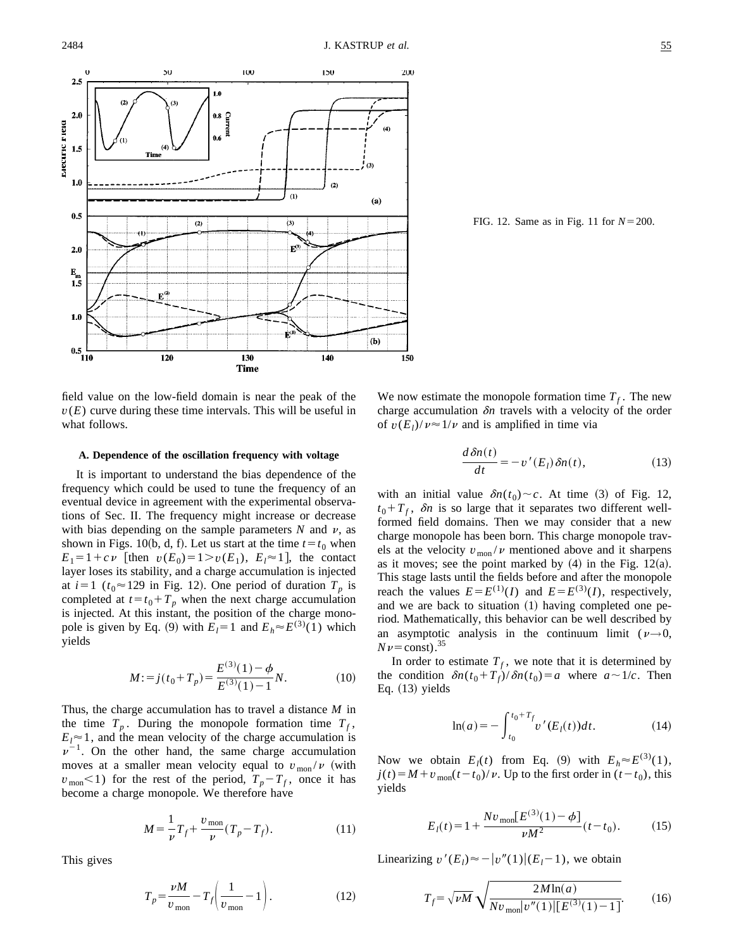

FIG. 12. Same as in Fig. 11 for  $N = 200$ .

field value on the low-field domain is near the peak of the  $v(E)$  curve during these time intervals. This will be useful in what follows.

### **A. Dependence of the oscillation frequency with voltage**

It is important to understand the bias dependence of the frequency which could be used to tune the frequency of an eventual device in agreement with the experimental observations of Sec. II. The frequency might increase or decrease with bias depending on the sample parameters  $N$  and  $\nu$ , as shown in Figs. 10(b, d, f). Let us start at the time  $t = t_0$  when  $E_1 = 1 + c \nu$  [then  $v(E_0) = 1 > v(E_1)$ ,  $E_i \approx 1$ ], the contact layer loses its stability, and a charge accumulation is injected at  $i=1$  ( $t_0 \approx 129$  in Fig. 12). One period of duration  $T_p$  is completed at  $t = t_0 + T_p$  when the next charge accumulation is injected. At this instant, the position of the charge monopole is given by Eq. (9) with  $E_l = 1$  and  $E_h \approx E^{(3)}(1)$  which yields

$$
M = j(t_0 + T_p) = \frac{E^{(3)}(1) - \phi}{E^{(3)}(1) - 1}N.
$$
 (10)

Thus, the charge accumulation has to travel a distance *M* in the time  $T_p$ . During the monopole formation time  $T_f$ ,  $E_l \approx 1$ , and the mean velocity of the charge accumulation is  $\nu^{-1}$ . On the other hand, the same charge accumulation moves at a smaller mean velocity equal to  $v_{\text{mon}}/v$  (with  $v_{\text{mon}}$ <1) for the rest of the period,  $T_p - T_f$ , once it has become a charge monopole. We therefore have

$$
M = \frac{1}{\nu} T_f + \frac{v_{\text{mon}}}{\nu} (T_p - T_f). \tag{11}
$$

This gives

$$
T_p = \frac{\nu M}{v_{\text{mon}}} - T_f \bigg( \frac{1}{v_{\text{mon}}} - 1 \bigg). \tag{12}
$$

We now estimate the monopole formation time  $T_f$ . The new charge accumulation  $\delta n$  travels with a velocity of the order of  $v(E_l)/v \approx 1/v$  and is amplified in time via

$$
\frac{d\,\delta n(t)}{dt} = -v'(E_l)\,\delta n(t),\tag{13}
$$

with an initial value  $\delta n(t_0) \sim c$ . At time (3) of Fig. 12,  $t_0 + T_f$ ,  $\delta n$  is so large that it separates two different wellformed field domains. Then we may consider that a new charge monopole has been born. This charge monopole travels at the velocity  $v_{\text{mon}}/v$  mentioned above and it sharpens as it moves; see the point marked by  $(4)$  in the Fig. 12 $(a)$ . This stage lasts until the fields before and after the monopole reach the values  $E = E^{(1)}(I)$  and  $E = E^{(3)}(I)$ , respectively, and we are back to situation  $(1)$  having completed one period. Mathematically, this behavior can be well described by an asymptotic analysis in the continuum limit ( $\nu \rightarrow 0$ ,  $Nv = \text{const.}^{35}$ 

In order to estimate  $T_f$ , we note that it is determined by the condition  $\delta n(t_0+T_f)/\delta n(t_0)=a$  where  $a \sim 1/c$ . Then Eq.  $(13)$  yields

$$
\ln(a) = -\int_{t_0}^{t_0+T_f} v'(E_i(t))dt.
$$
 (14)

Now we obtain  $E_l(t)$  from Eq. (9) with  $E_h \approx E^{(3)}(1)$ ,  $j(t) = M + v_{\text{mon}}(t - t_0)/v$ . Up to the first order in  $(t - t_0)$ , this yields

$$
E_l(t) = 1 + \frac{Nv_{\text{mon}}[E^{(3)}(1) - \phi]}{\nu M^2} (t - t_0).
$$
 (15)

Linearizing  $v'(E_l) \approx -|v''(1)|(E_l-1)$ , we obtain

$$
T_f = \sqrt{\nu M} \sqrt{\frac{2M \ln(a)}{N v_{\text{mon}} |v''(1)| [E^{(3)}(1) - 1]}}.
$$
 (16)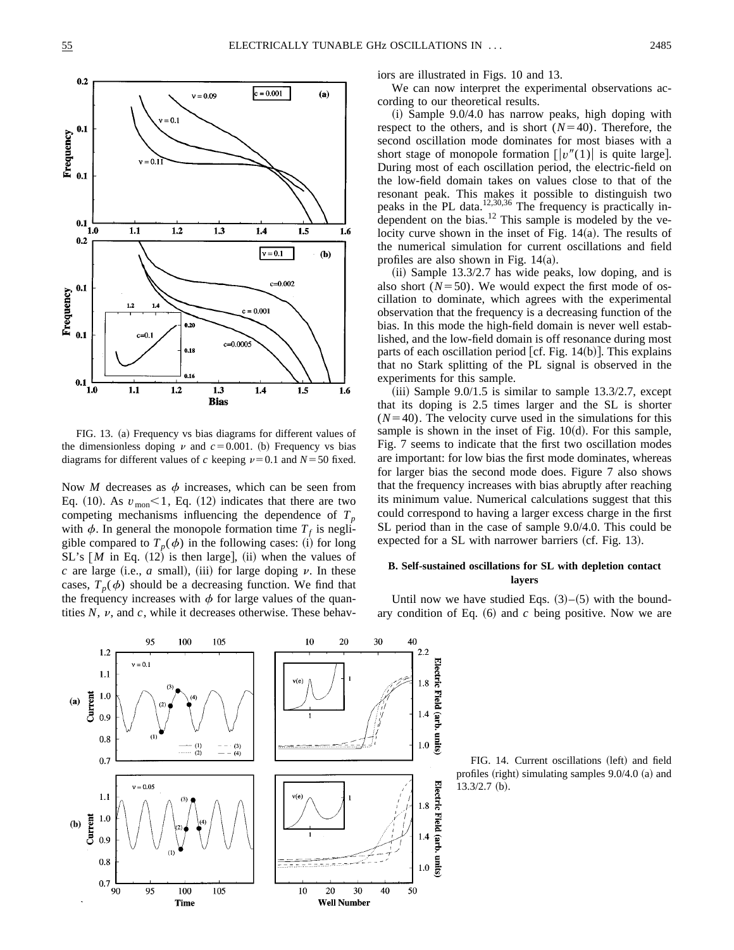

FIG. 13. (a) Frequency vs bias diagrams for different values of the dimensionless doping  $\nu$  and  $c=0.001$ . (b) Frequency vs bias diagrams for different values of *c* keeping  $\nu=0.1$  and  $N=50$  fixed.

Now *M* decreases as  $\phi$  increases, which can be seen from Eq.  $(10)$ . As  $v_{\text{mon}} < 1$ , Eq.  $(12)$  indicates that there are two competing mechanisms influencing the dependence of  $T_p$ with  $\phi$ . In general the monopole formation time  $T_f$  is negligible compared to  $T_p(\phi)$  in the following cases: (i) for long  $SL's [M]$  in Eq.  $(12)$  is then large],  $(ii)$  when the values of  $c$  are large (i.e.,  $a$  small), (iii) for large doping  $\nu$ . In these cases,  $T_p(\phi)$  should be a decreasing function. We find that the frequency increases with  $\phi$  for large values of the quantities  $N$ ,  $\nu$ , and  $c$ , while it decreases otherwise. These behaviors are illustrated in Figs. 10 and 13.

We can now interpret the experimental observations according to our theoretical results.

 $(i)$  Sample 9.0/4.0 has narrow peaks, high doping with respect to the others, and is short  $(N=40)$ . Therefore, the second oscillation mode dominates for most biases with a short stage of monopole formation  $\lfloor v''(1) \rfloor$  is quite large. During most of each oscillation period, the electric-field on the low-field domain takes on values close to that of the resonant peak. This makes it possible to distinguish two peaks in the PL data.<sup>12,30,36</sup> The frequency is practically independent on the bias.<sup>12</sup> This sample is modeled by the velocity curve shown in the inset of Fig.  $14(a)$ . The results of the numerical simulation for current oscillations and field profiles are also shown in Fig.  $14(a)$ .

 $(i)$  Sample 13.3/2.7 has wide peaks, low doping, and is also short  $(N=50)$ . We would expect the first mode of oscillation to dominate, which agrees with the experimental observation that the frequency is a decreasing function of the bias. In this mode the high-field domain is never well established, and the low-field domain is off resonance during most parts of each oscillation period [cf. Fig.  $14(b)$ ]. This explains that no Stark splitting of the PL signal is observed in the experiments for this sample.

 $(iii)$  Sample 9.0/1.5 is similar to sample 13.3/2.7, except that its doping is 2.5 times larger and the SL is shorter  $(N=40)$ . The velocity curve used in the simulations for this sample is shown in the inset of Fig.  $10(d)$ . For this sample, Fig. 7 seems to indicate that the first two oscillation modes are important: for low bias the first mode dominates, whereas for larger bias the second mode does. Figure 7 also shows that the frequency increases with bias abruptly after reaching its minimum value. Numerical calculations suggest that this could correspond to having a larger excess charge in the first SL period than in the case of sample 9.0/4.0. This could be expected for a  $SL$  with narrower barriers (cf. Fig. 13).

# **B. Self-sustained oscillations for SL with depletion contact layers**

Until now we have studied Eqs.  $(3)$ – $(5)$  with the boundary condition of Eq.  $(6)$  and  $c$  being positive. Now we are



FIG. 14. Current oscillations (left) and field profiles (right) simulating samples  $9.0/4.0$  (a) and  $13.3/2.7~(b).$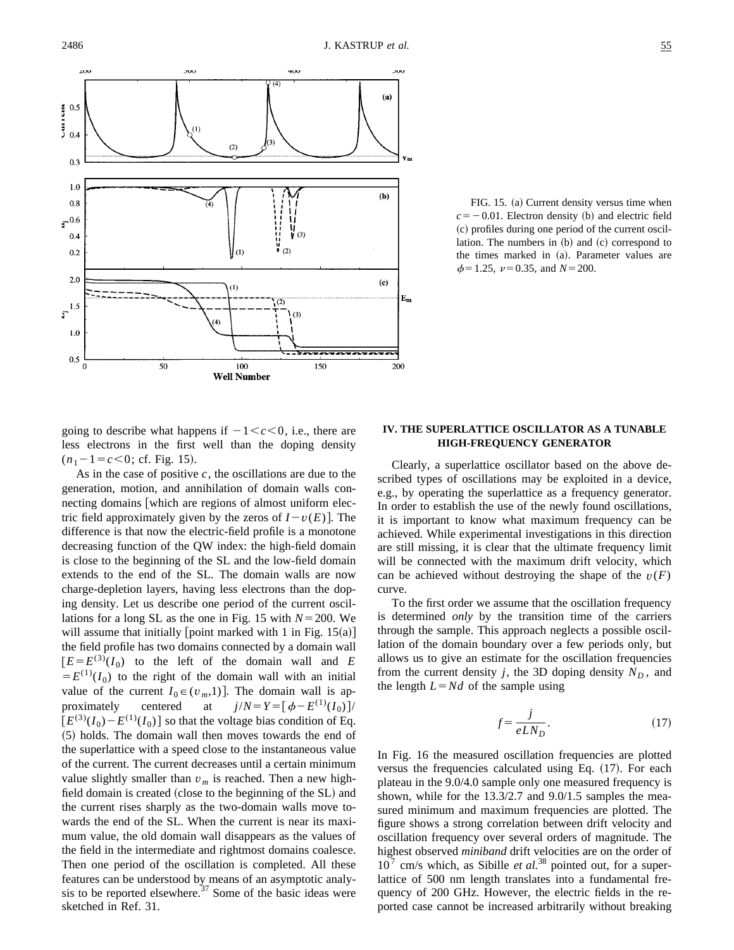

FIG. 15. (a) Current density versus time when  $c=-0.01$ . Electron density (b) and electric field ~c! profiles during one period of the current oscillation. The numbers in  $(b)$  and  $(c)$  correspond to the times marked in (a). Parameter values are  $\phi$ =1.25,  $\nu$ =0.35, and *N*=200.

going to describe what happens if  $-1 < c < 0$ , i.e., there are less electrons in the first well than the doping density  $(n_1-1=c<0;$  cf. Fig. 15).

As in the case of positive *c*, the oscillations are due to the generation, motion, and annihilation of domain walls connecting domains which are regions of almost uniform electric field approximately given by the zeros of  $I-v(E)$ . The difference is that now the electric-field profile is a monotone decreasing function of the QW index: the high-field domain is close to the beginning of the SL and the low-field domain extends to the end of the SL. The domain walls are now charge-depletion layers, having less electrons than the doping density. Let us describe one period of the current oscillations for a long SL as the one in Fig. 15 with  $N=200$ . We will assume that initially [point marked with 1 in Fig.  $15(a)$ ] the field profile has two domains connected by a domain wall  $[E=E^{(3)}(I_0)$  to the left of the domain wall and *E*  $E(E^{(1)}(I_0))$  to the right of the domain wall with an initial value of the current  $I_0 \in (v_m,1)$ . The domain wall is approximately centered at  $j/N = Y = [\phi - E^{(1)}(I_0)]$  $[E^{(3)}(I_0) - E^{(1)}(I_0)]$  so that the voltage bias condition of Eq. ~5! holds. The domain wall then moves towards the end of the superlattice with a speed close to the instantaneous value of the current. The current decreases until a certain minimum value slightly smaller than  $v_m$  is reached. Then a new highfield domain is created (close to the beginning of the SL) and the current rises sharply as the two-domain walls move towards the end of the SL. When the current is near its maximum value, the old domain wall disappears as the values of the field in the intermediate and rightmost domains coalesce. Then one period of the oscillation is completed. All these features can be understood by means of an asymptotic analysis to be reported elsewhere.<sup>37</sup> Some of the basic ideas were sketched in Ref. 31.

## **IV. THE SUPERLATTICE OSCILLATOR AS A TUNABLE HIGH-FREQUENCY GENERATOR**

Clearly, a superlattice oscillator based on the above described types of oscillations may be exploited in a device, e.g., by operating the superlattice as a frequency generator. In order to establish the use of the newly found oscillations, it is important to know what maximum frequency can be achieved. While experimental investigations in this direction are still missing, it is clear that the ultimate frequency limit will be connected with the maximum drift velocity, which can be achieved without destroying the shape of the  $v(F)$ curve.

To the first order we assume that the oscillation frequency is determined *only* by the transition time of the carriers through the sample. This approach neglects a possible oscillation of the domain boundary over a few periods only, but allows us to give an estimate for the oscillation frequencies from the current density  $j$ , the 3D doping density  $N_D$ , and the length  $L = Nd$  of the sample using

$$
f = \frac{j}{eLN_D}.\tag{17}
$$

In Fig. 16 the measured oscillation frequencies are plotted versus the frequencies calculated using Eq.  $(17)$ . For each plateau in the 9.0/4.0 sample only one measured frequency is shown, while for the 13.3/2.7 and 9.0/1.5 samples the measured minimum and maximum frequencies are plotted. The figure shows a strong correlation between drift velocity and oscillation frequency over several orders of magnitude. The highest observed *miniband* drift velocities are on the order of  $10^7$  cm/s which, as Sibille *et al.*<sup>38</sup> pointed out, for a superlattice of 500 nm length translates into a fundamental frequency of 200 GHz. However, the electric fields in the reported case cannot be increased arbitrarily without breaking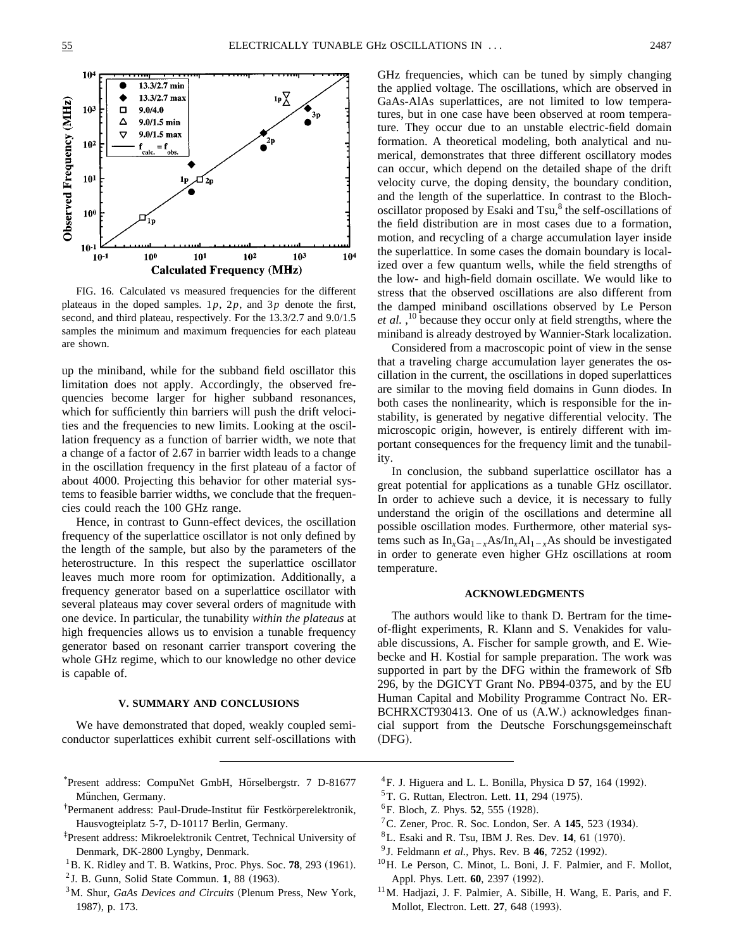

FIG. 16. Calculated vs measured frequencies for the different plateaus in the doped samples. 1*p*, 2*p*, and 3*p* denote the first, second, and third plateau, respectively. For the 13.3/2.7 and 9.0/1.5 samples the minimum and maximum frequencies for each plateau are shown.

up the miniband, while for the subband field oscillator this limitation does not apply. Accordingly, the observed frequencies become larger for higher subband resonances, which for sufficiently thin barriers will push the drift velocities and the frequencies to new limits. Looking at the oscillation frequency as a function of barrier width, we note that a change of a factor of 2.67 in barrier width leads to a change in the oscillation frequency in the first plateau of a factor of about 4000. Projecting this behavior for other material systems to feasible barrier widths, we conclude that the frequencies could reach the 100 GHz range.

Hence, in contrast to Gunn-effect devices, the oscillation frequency of the superlattice oscillator is not only defined by the length of the sample, but also by the parameters of the heterostructure. In this respect the superlattice oscillator leaves much more room for optimization. Additionally, a frequency generator based on a superlattice oscillator with several plateaus may cover several orders of magnitude with one device. In particular, the tunability *within the plateaus* at high frequencies allows us to envision a tunable frequency generator based on resonant carrier transport covering the whole GHz regime, which to our knowledge no other device is capable of.

### **V. SUMMARY AND CONCLUSIONS**

We have demonstrated that doped, weakly coupled semiconductor superlattices exhibit current self-oscillations with

- \*Present address: CompuNet GmbH, Hörselbergstr. 7 D-81677 München, Germany.
- <sup>†</sup>Permanent address: Paul-Drude-Institut für Festkörperelektronik, Hausvogteiplatz 5-7, D-10117 Berlin, Germany.
- ‡ Present address: Mikroelektronik Centret, Technical University of Denmark, DK-2800 Lyngby, Denmark.
- $^{1}$ B. K. Ridley and T. B. Watkins, Proc. Phys. Soc. **78**, 293 (1961).
- $2$  J. B. Gunn, Solid State Commun. 1, 88 (1963).
- <sup>3</sup>M. Shur, *GaAs Devices and Circuits* (Plenum Press, New York, 1987), p. 173.

GHz frequencies, which can be tuned by simply changing the applied voltage. The oscillations, which are observed in GaAs-AlAs superlattices, are not limited to low temperatures, but in one case have been observed at room temperature. They occur due to an unstable electric-field domain formation. A theoretical modeling, both analytical and numerical, demonstrates that three different oscillatory modes can occur, which depend on the detailed shape of the drift velocity curve, the doping density, the boundary condition, and the length of the superlattice. In contrast to the Blochoscillator proposed by Esaki and  $Tsu<sub>1</sub><sup>8</sup>$  the self-oscillations of the field distribution are in most cases due to a formation, motion, and recycling of a charge accumulation layer inside the superlattice. In some cases the domain boundary is localized over a few quantum wells, while the field strengths of the low- and high-field domain oscillate. We would like to stress that the observed oscillations are also different from the damped miniband oscillations observed by Le Person et al.,<sup>10</sup> because they occur only at field strengths, where the miniband is already destroyed by Wannier-Stark localization.

Considered from a macroscopic point of view in the sense that a traveling charge accumulation layer generates the oscillation in the current, the oscillations in doped superlattices are similar to the moving field domains in Gunn diodes. In both cases the nonlinearity, which is responsible for the instability, is generated by negative differential velocity. The microscopic origin, however, is entirely different with important consequences for the frequency limit and the tunability.

In conclusion, the subband superlattice oscillator has a great potential for applications as a tunable GHz oscillator. In order to achieve such a device, it is necessary to fully understand the origin of the oscillations and determine all possible oscillation modes. Furthermore, other material systems such as  $In_{x}Ga_{1-x}As/In_{x}Al_{1-x}As$  should be investigated in order to generate even higher GHz oscillations at room temperature.

## **ACKNOWLEDGMENTS**

The authors would like to thank D. Bertram for the timeof-flight experiments, R. Klann and S. Venakides for valuable discussions, A. Fischer for sample growth, and E. Wiebecke and H. Kostial for sample preparation. The work was supported in part by the DFG within the framework of Sfb 296, by the DGICYT Grant No. PB94-0375, and by the EU Human Capital and Mobility Programme Contract No. ER-BCHRXCT930413. One of us  $(A.W.)$  acknowledges financial support from the Deutsche Forschungsgemeinschaft (DFG).

- $^{4}$ F. J. Higuera and L. L. Bonilla, Physica D **57**, 164 (1992).
- $5T. G.$  Ruttan, Electron. Lett. **11**, 294 (1975).
- $^{6}$ F. Bloch, Z. Phys. **52**, 555 (1928).
- <sup>7</sup>C. Zener, Proc. R. Soc. London, Ser. A  $145$ , 523 (1934).
- ${}^{8}$ L. Esaki and R. Tsu, IBM J. Res. Dev. **14**, 61 (1970).
- <sup>9</sup> J. Feldmann *et al.*, Phys. Rev. B 46, 7252 (1992).
- <sup>10</sup>H. Le Person, C. Minot, L. Boni, J. F. Palmier, and F. Mollot, Appl. Phys. Lett. **60**, 2397 (1992).
- 11M. Hadjazi, J. F. Palmier, A. Sibille, H. Wang, E. Paris, and F. Mollot, Electron. Lett. 27, 648 (1993).